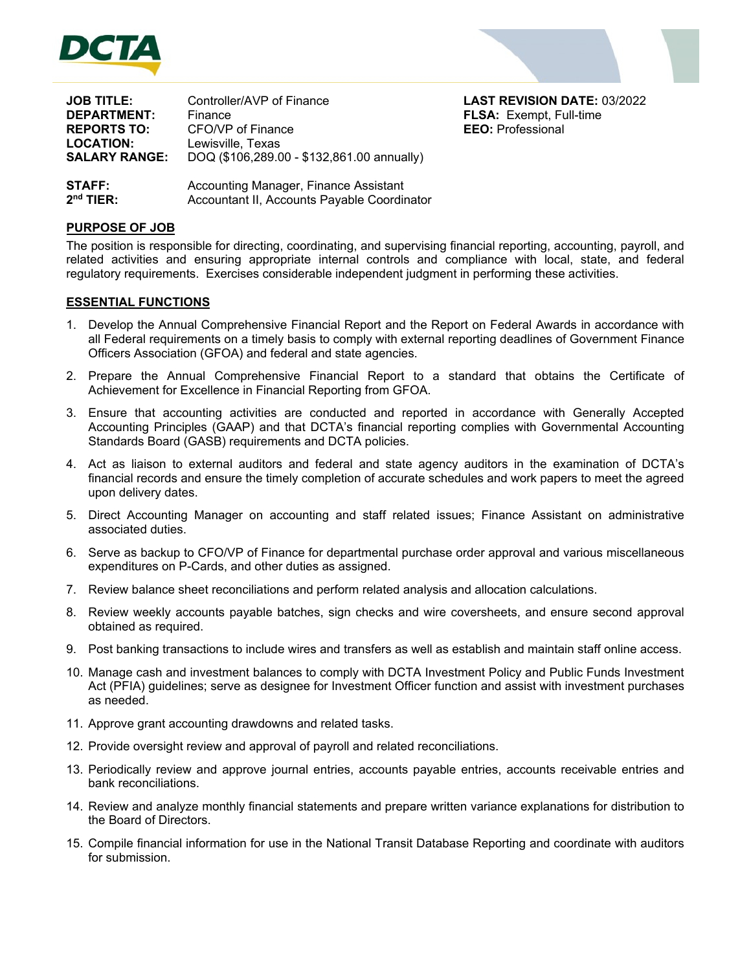



| <b>JOB TITLE:</b>    | Controller/AVP of Finance                  |
|----------------------|--------------------------------------------|
| <b>DEPARTMENT:</b>   | Finance                                    |
| <b>REPORTS TO:</b>   | CFO/VP of Finance                          |
| <b>LOCATION:</b>     | Lewisville, Texas                          |
| <b>SALARY RANGE:</b> | DOQ (\$106,289.00 - \$132,861.00 annually) |
|                      |                                            |

**LAST REVISION DATE: 03/2022 FLSA: Exempt, Full-time EEO:** Professional

Accounting Manager, Finance Assistant Accountant II, Accounts Payable Coordinator **STAFF: 2 nd TIER:** 

# **PURPOSE OF JOB**

The position is responsible for directing, coordinating, and supervising financial reporting, accounting, payroll, and related activities and ensuring appropriate internal controls and compliance with local, state, and federal regulatory requirements. Exercises considerable independent judgment in performing these activities.

# **ESSENTIAL FUNCTIONS**

- 1. Develop the Annual Comprehensive Financial Report and the Report on Federal Awards in accordance with all Federal requirements on a timely basis to comply with external reporting deadlines of Government Finance Officers Association (GFOA) and federal and state agencies.
- 2. Prepare the Annual Comprehensive Financial Report to a standard that obtains the Certificate of Achievement for Excellence in Financial Reporting from GFOA.
- 3. Ensure that accounting activities are conducted and reported in accordance with Generally Accepted Accounting Principles (GAAP) and that DCTA's financial reporting complies with Governmental Accounting Standards Board (GASB) requirements and DCTA policies.
- 4. Act as liaison to external auditors and federal and state agency auditors in the examination of DCTA's financial records and ensure the timely completion of accurate schedules and work papers to meet the agreed upon delivery dates.
- 5. Direct Accounting Manager on accounting and staff related issues; Finance Assistant on administrative associated duties.
- 6. Serve as backup to CFO/VP of Finance for departmental purchase order approval and various miscellaneous expenditures on P-Cards, and other duties as assigned.
- 7. Review balance sheet reconciliations and perform related analysis and allocation calculations.
- 8. Review weekly accounts payable batches, sign checks and wire coversheets, and ensure second approval obtained as required.
- 9. Post banking transactions to include wires and transfers as well as establish and maintain staff online access.
- 10. Manage cash and investment balances to comply with DCTA Investment Policy and Public Funds Investment Act (PFIA) guidelines; serve as designee for Investment Officer function and assist with investment purchases as needed.
- 11. Approve grant accounting drawdowns and related tasks.
- 12. Provide oversight review and approval of payroll and related reconciliations.
- 13. Periodically review and approve journal entries, accounts payable entries, accounts receivable entries and bank reconciliations.
- 14. Review and analyze monthly financial statements and prepare written variance explanations for distribution to the Board of Directors.
- 15. Compile financial information for use in the National Transit Database Reporting and coordinate with auditors for submission.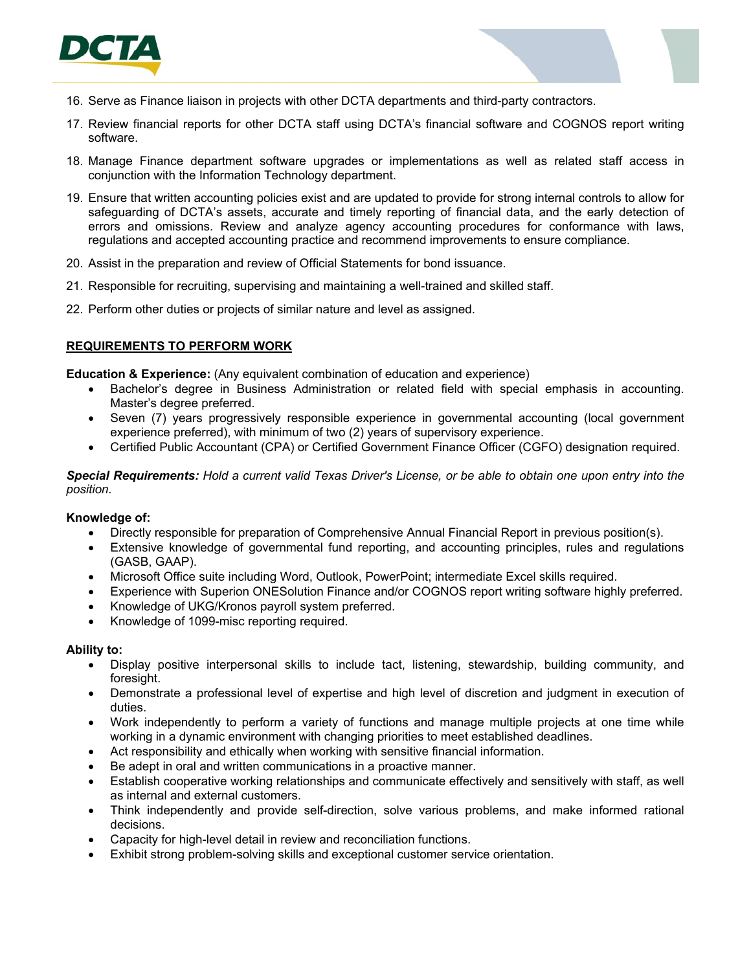

- 16. Serve as Finance liaison in projects with other DCTA departments and third-party contractors.
- 17. Review financial reports for other DCTA staff using DCTA's financial software and COGNOS report writing software.
- 18. Manage Finance department software upgrades or implementations as well as related staff access in conjunction with the Information Technology department.
- 19. Ensure that written accounting policies exist and are updated to provide for strong internal controls to allow for safeguarding of DCTA's assets, accurate and timely reporting of financial data, and the early detection of errors and omissions. Review and analyze agency accounting procedures for conformance with laws, regulations and accepted accounting practice and recommend improvements to ensure compliance.
- 20. Assist in the preparation and review of Official Statements for bond issuance.
- 21. Responsible for recruiting, supervising and maintaining a well-trained and skilled staff.
- 22. Perform other duties or projects of similar nature and level as assigned.

## **REQUIREMENTS TO PERFORM WORK**

**Education & Experience:** (Any equivalent combination of education and experience)

- Bachelor's degree in Business Administration or related field with special emphasis in accounting. Master's degree preferred.
- Seven (7) years progressively responsible experience in governmental accounting (local government experience preferred), with minimum of two (2) years of supervisory experience.
- Certified Public Accountant (CPA) or Certified Government Finance Officer (CGFO) designation required.

*Special Requirements: Hold a current valid Texas Driver's License, or be able to obtain one upon entry into the position.* 

### **Knowledge of:**

- Directly responsible for preparation of Comprehensive Annual Financial Report in previous position(s).
- Extensive knowledge of governmental fund reporting, and accounting principles, rules and regulations (GASB, GAAP).
- Microsoft Office suite including Word, Outlook, PowerPoint; intermediate Excel skills required.
- Experience with Superion ONESolution Finance and/or COGNOS report writing software highly preferred.
- Knowledge of UKG/Kronos payroll system preferred.
- Knowledge of 1099-misc reporting required.

#### **Ability to:**

- Display positive interpersonal skills to include tact, listening, stewardship, building community, and foresight.
- Demonstrate a professional level of expertise and high level of discretion and judgment in execution of duties.
- Work independently to perform a variety of functions and manage multiple projects at one time while working in a dynamic environment with changing priorities to meet established deadlines.
- Act responsibility and ethically when working with sensitive financial information.
- Be adept in oral and written communications in a proactive manner.
- Establish cooperative working relationships and communicate effectively and sensitively with staff, as well as internal and external customers.
- Think independently and provide self-direction, solve various problems, and make informed rational decisions.
- Capacity for high-level detail in review and reconciliation functions.
- Exhibit strong problem-solving skills and exceptional customer service orientation.